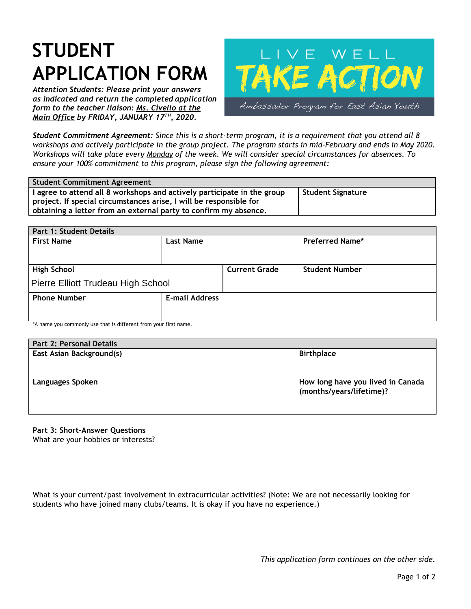## **STUDENT APPLICATION FORM**

*Attention Students: Please print your answers as indicated and return the completed application form to the teacher liaison: Ms. Civello at the Main Office by FRIDAY, JANUARY 17 TH , 2020.*



Student Commitment Agreement: Since this is a short-term program, it is a requirement that you attend all 8 workshops and actively participate in the group project. The program starts in mid-February and ends in May 2020. Workshops will take place every Monday of the week. We will consider special circumstances for absences. To *ensure your 100% commitment to this program, please sign the following agreement:*

| <b>Student Commitment Agreement</b>                                     |                          |
|-------------------------------------------------------------------------|--------------------------|
| I agree to attend all 8 workshops and actively participate in the group | <b>Student Signature</b> |
| project. If special circumstances arise, I will be responsible for      |                          |
| obtaining a letter from an external party to confirm my absence.        |                          |

| Part 1: Student Details            |                       |                      |                        |  |
|------------------------------------|-----------------------|----------------------|------------------------|--|
| <b>First Name</b>                  | <b>Last Name</b>      |                      | <b>Preferred Name*</b> |  |
|                                    |                       |                      |                        |  |
| <b>High School</b>                 |                       | <b>Current Grade</b> | <b>Student Number</b>  |  |
| Pierre Elliott Trudeau High School |                       |                      |                        |  |
| <b>Phone Number</b>                | <b>E-mail Address</b> |                      |                        |  |
|                                    |                       |                      |                        |  |

\*A name you commonly use that is different from your first name.

| Part 2: Personal Details        |                                                               |
|---------------------------------|---------------------------------------------------------------|
| <b>East Asian Background(s)</b> | <b>Birthplace</b>                                             |
| <b>Languages Spoken</b>         | How long have you lived in Canada<br>(months/years/lifetime)? |

**Part 3: Short-Answer Questions**

What are your hobbies or interests?

What is your current/past involvement in extracurricular activities? (Note: We are not necessarily looking for students who have joined many clubs/teams. It is okay if you have no experience.)